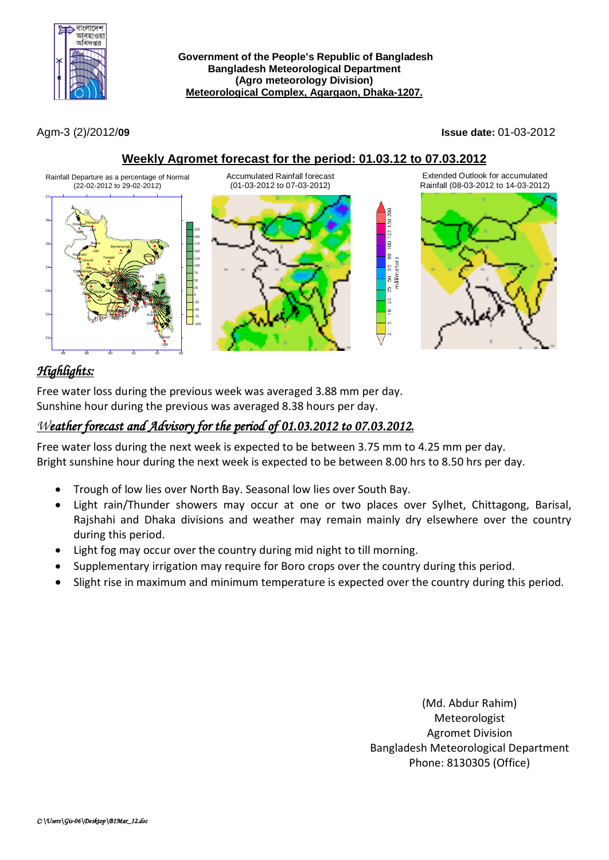

Agm-3 (2)/2012/**09 Issue date:** 01-03-2012

**Weekly Agromet forecast for the period: 01.03.12 to 07.03.2012**



# *Highlights:*

Free water loss during the previous week was averaged 3.88 mm per day. Sunshine hour during the previous was averaged 8.38 hours per day.

### *Weather forecast and Advisory for the period of 01.03.2012 to 07.03.2012.*

Free water loss during the next week is expected to be between 3.75 mm to 4.25 mm per day. Bright sunshine hour during the next week is expected to be between 8.00 hrs to 8.50 hrs per day.

- Trough of low lies over North Bay. Seasonal low lies over South Bay.
- Light rain/Thunder showers may occur at one or two places over Sylhet, Chittagong, Barisal, Rajshahi and Dhaka divisions and weather may remain mainly dry elsewhere over the country during this period.
- Light fog may occur over the country during mid night to till morning.
- Supplementary irrigation may require for Boro crops over the country during this period.
- Slight rise in maximum and minimum temperature is expected over the country during this period.

(Md. Abdur Rahim) Meteorologist Agromet Division Bangladesh Meteorological Department Phone: 8130305 (Office)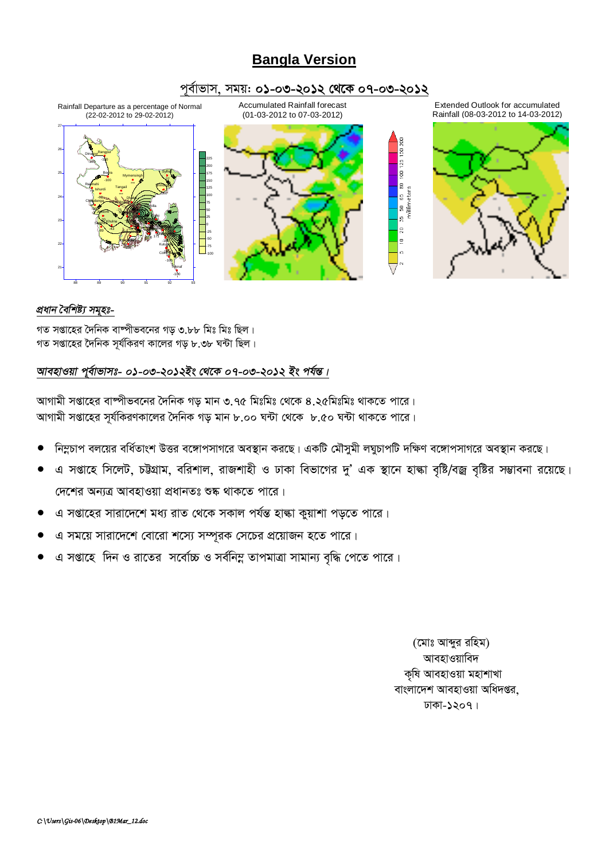## **Bangla Version**

#### পূর্বাভাস, সময়: ০১-০৩-২০১২ থেকে ০৭-০৩-২০১২



#### প্ৰধান বৈশিষ্ট্য সমূহঃ-

গত সপ্তাহের দৈনিক বাষ্পীভবনের গড় ৩.৮৮ মিঃ মিঃ ছিল। গত সপ্তাহের দৈনিক সর্যকিরণ কালের গড় ৮.৩৮ ঘন্টা ছিল।

#### আবহাওয়া পূর্বাভাসঃ- ০১-০৩-২০১২ইং থেকে ০৭-০৩-২০১২ ইং পর্যন্ত।

আগামী সপ্তাহের বাম্পীভবনের দৈনিক গড় মান ৩.৭৫ মিঃমিঃ থেকে ৪.২৫মিঃমিঃ থাকতে পারে। আগামী সপ্তাহের সূর্যকিরণকালের দৈনিক গড় মান ৮.০০ ঘন্টা থেকে ৮.৫০ ঘন্টা থাকতে পারে।

- নিম্নচাপ বলয়ের বর্ধিতাংশ উত্তর বঙ্গোপসাগরে অবস্থান করছে। একটি মৌসুমী লঘুচাপটি দক্ষিণ বঙ্গোপসাগরে অবস্থান করছে।
- এ সপ্তাহে সিলেট, চউগ্রাম, বরিশাল, রাজশাহী ও ঢাকা বিভাগের দু' এক স্থানে হাল্কা বৃষ্টি/বজ্র বৃষ্টির সম্ভাবনা রয়েছে। দেশের অন্যত্র আবহাওয়া প্রধানতঃ শুষ্ক থাকতে পারে।
- এ সপ্তাহের সারাদেশে মধ্য রাত থেকে সকাল পর্যন্ত হাঙ্কা কুয়াশা পড়তে পারে।
- এ সময়ে সারাদেশে বোরো শস্যে সম্পূরক সেচের প্রয়োজন হতে পারে।
- এ সপ্তাহে দিন ও রাতের সর্বোচ্চ ও সর্বনিম্ন তাপমাত্রা সামান্য বৃদ্ধি পেতে পারে।

(মোঃ আব্দুর রহিম) আবহাওয়াবিদ কৃষি আবহাওয়া মহাশাখা বাংলাদেশ আবহাওয়া অধিদপ্তর. ঢাকা-১২০৭।